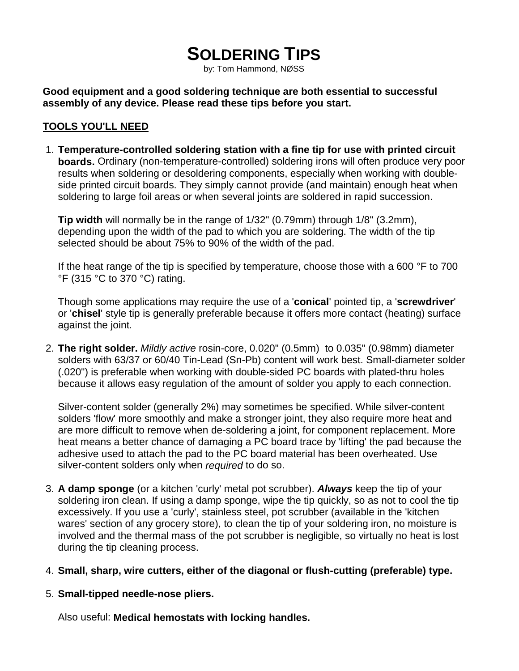# **SOLDERING TIPS**

by: Tom Hammond, NØSS

**Good equipment and a good soldering technique are both essential to successful assembly of any device. Please read these tips before you start.**

#### **TOOLS YOU'LL NEED**

1. **Temperature-controlled soldering station with a fine tip for use with printed circuit boards.** Ordinary (non-temperature-controlled) soldering irons will often produce very poor results when soldering or desoldering components, especially when working with doubleside printed circuit boards. They simply cannot provide (and maintain) enough heat when soldering to large foil areas or when several joints are soldered in rapid succession.

**Tip width** will normally be in the range of 1/32" (0.79mm) through 1/8" (3.2mm), depending upon the width of the pad to which you are soldering. The width of the tip selected should be about 75% to 90% of the width of the pad.

If the heat range of the tip is specified by temperature, choose those with a 600 °F to 700 °F (315 °C to 370 °C) rating.

Though some applications may require the use of a '**conical**' pointed tip, a '**screwdriver**' or '**chisel**' style tip is generally preferable because it offers more contact (heating) surface against the joint.

2. **The right solder.** *Mildly active* rosin-core, 0.020" (0.5mm) to 0.035" (0.98mm) diameter solders with 63/37 or 60/40 Tin-Lead (Sn-Pb) content will work best. Small-diameter solder (.020") is preferable when working with double-sided PC boards with plated-thru holes because it allows easy regulation of the amount of solder you apply to each connection.

Silver-content solder (generally 2%) may sometimes be specified. While silver-content solders 'flow' more smoothly and make a stronger joint, they also require more heat and are more difficult to remove when de-soldering a joint, for component replacement. More heat means a better chance of damaging a PC board trace by 'lifting' the pad because the adhesive used to attach the pad to the PC board material has been overheated. Use silver-content solders only when *required* to do so.

- 3. **A damp sponge** (or a kitchen 'curly' metal pot scrubber). *Always* keep the tip of your soldering iron clean. If using a damp sponge, wipe the tip quickly, so as not to cool the tip excessively. If you use a 'curly', stainless steel, pot scrubber (available in the 'kitchen wares' section of any grocery store), to clean the tip of your soldering iron, no moisture is involved and the thermal mass of the pot scrubber is negligible, so virtually no heat is lost during the tip cleaning process.
- 4. **Small, sharp, wire cutters, either of the diagonal or flush-cutting (preferable) type.**
- 5. **Small-tipped needle-nose pliers.**

Also useful: **Medical hemostats with locking handles.**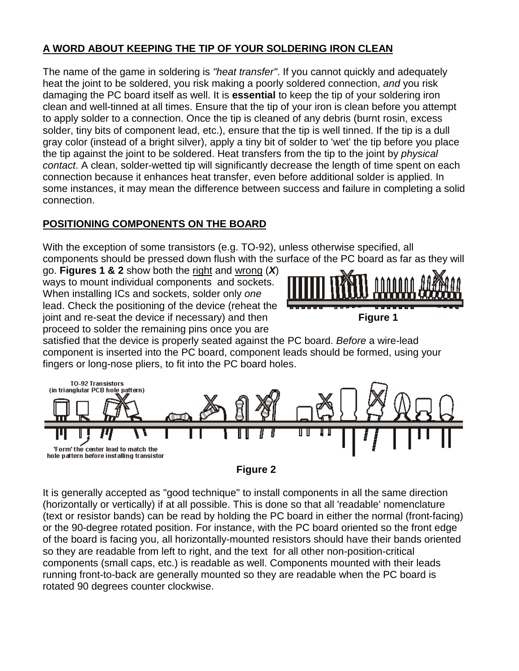## **A WORD ABOUT KEEPING THE TIP OF YOUR SOLDERING IRON CLEAN**

The name of the game in soldering is *"heat transfer"*. If you cannot quickly and adequately heat the joint to be soldered, you risk making a poorly soldered connection, *and* you risk damaging the PC board itself as well. It is **essential** to keep the tip of your soldering iron clean and well-tinned at all times. Ensure that the tip of your iron is clean before you attempt to apply solder to a connection. Once the tip is cleaned of any debris (burnt rosin, excess solder, tiny bits of component lead, etc.), ensure that the tip is well tinned. If the tip is a dull gray color (instead of a bright silver), apply a tiny bit of solder to 'wet' the tip before you place the tip against the joint to be soldered. Heat transfers from the tip to the joint by *physical contact*. A clean, solder-wetted tip will significantly decrease the length of time spent on each connection because it enhances heat transfer, even before additional solder is applied. In some instances, it may mean the difference between success and failure in completing a solid connection.

## **POSITIONING COMPONENTS ON THE BOARD**

With the exception of some transistors (e.g. TO-92), unless otherwise specified, all components should be pressed down flush with the surface of the PC board as far as they will

go. **Figures 1 & 2** show both the right and wrong (*X*) ways to mount individual components and sockets. When installing ICs and sockets, solder only *one* lead. Check the positioning of the device (reheat the joint and re-seat the device if necessary) and then **Figure 1** proceed to solder the remaining pins once you are



satisfied that the device is properly seated against the PC board. *Before* a wire-lead component is inserted into the PC board, component leads should be formed, using your fingers or long-nose pliers, to fit into the PC board holes.



**Figure 2**

It is generally accepted as "good technique" to install components in all the same direction (horizontally or vertically) if at all possible. This is done so that all 'readable' nomenclature (text or resistor bands) can be read by holding the PC board in either the normal (front-facing) or the 90-degree rotated position. For instance, with the PC board oriented so the front edge of the board is facing you, all horizontally-mounted resistors should have their bands oriented so they are readable from left to right, and the text for all other non-position-critical components (small caps, etc.) is readable as well. Components mounted with their leads running front-to-back are generally mounted so they are readable when the PC board is rotated 90 degrees counter clockwise.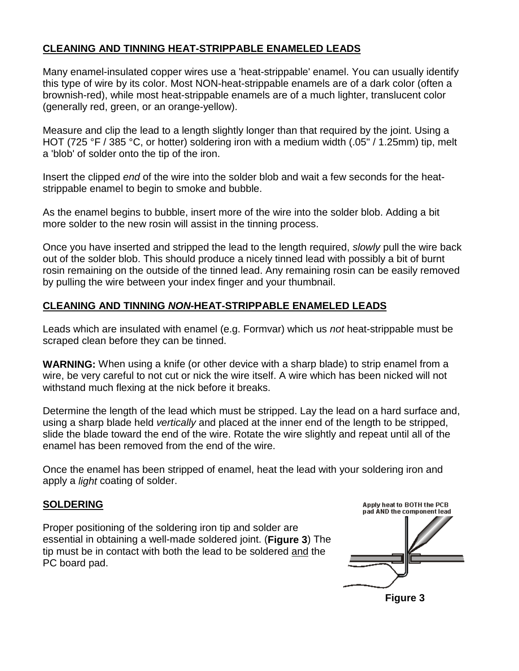## **CLEANING AND TINNING HEAT-STRIPPABLE ENAMELED LEADS**

Many enamel-insulated copper wires use a 'heat-strippable' enamel. You can usually identify this type of wire by its color. Most NON-heat-strippable enamels are of a dark color (often a brownish-red), while most heat-strippable enamels are of a much lighter, translucent color (generally red, green, or an orange-yellow).

Measure and clip the lead to a length slightly longer than that required by the joint. Using a HOT (725 °F / 385 °C, or hotter) soldering iron with a medium width (.05" / 1.25mm) tip, melt a 'blob' of solder onto the tip of the iron.

Insert the clipped *end* of the wire into the solder blob and wait a few seconds for the heatstrippable enamel to begin to smoke and bubble.

As the enamel begins to bubble, insert more of the wire into the solder blob. Adding a bit more solder to the new rosin will assist in the tinning process.

Once you have inserted and stripped the lead to the length required, *slowly* pull the wire back out of the solder blob. This should produce a nicely tinned lead with possibly a bit of burnt rosin remaining on the outside of the tinned lead. Any remaining rosin can be easily removed by pulling the wire between your index finger and your thumbnail.

## **CLEANING AND TINNING** *NON***-HEAT-STRIPPABLE ENAMELED LEADS**

Leads which are insulated with enamel (e.g. Formvar) which us *not* heat-strippable must be scraped clean before they can be tinned.

**WARNING:** When using a knife (or other device with a sharp blade) to strip enamel from a wire, be very careful to not cut or nick the wire itself. A wire which has been nicked will not withstand much flexing at the nick before it breaks.

Determine the length of the lead which must be stripped. Lay the lead on a hard surface and, using a sharp blade held *vertically* and placed at the inner end of the length to be stripped, slide the blade toward the end of the wire. Rotate the wire slightly and repeat until all of the enamel has been removed from the end of the wire.

Once the enamel has been stripped of enamel, heat the lead with your soldering iron and apply a *light* coating of solder.

#### **SOLDERING**

Proper positioning of the soldering iron tip and solder are essential in obtaining a well-made soldered joint. (**Figure 3**) The tip must be in contact with both the lead to be soldered and the PC board pad.

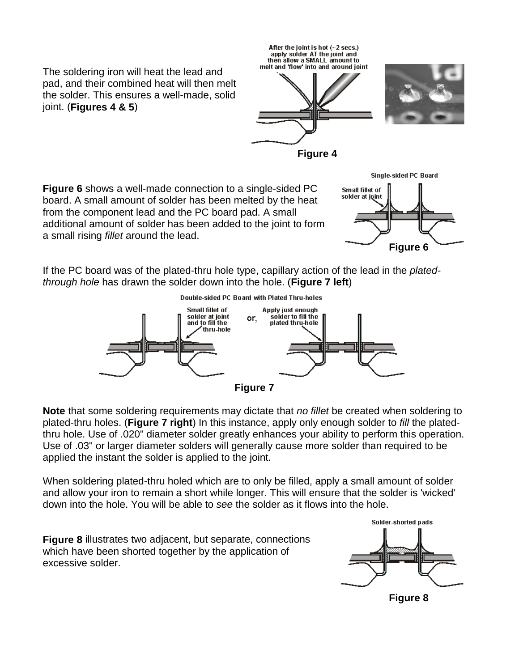The soldering iron will heat the lead and pad, and their combined heat will then melt the solder. This ensures a well-made, solid joint. (**Figures 4 & 5**)



Small fillet of solder at joint

**Figure 4**

**Figure 6** shows a well-made connection to a single-sided PC board. A small amount of solder has been melted by the heat from the component lead and the PC board pad. A small additional amount of solder has been added to the joint to form a small rising *fillet* around the lead.

If the PC board was of the plated-thru hole type, capillary action of the lead in the *platedthrough hole* has drawn the solder down into the hole. (**Figure 7 left**)



**Note** that some soldering requirements may dictate that *no fillet* be created when soldering to plated-thru holes. (**Figure 7 right**) In this instance, apply only enough solder to *fill* the platedthru hole. Use of .020" diameter solder greatly enhances your ability to perform this operation. Use of .03" or larger diameter solders will generally cause more solder than required to be applied the instant the solder is applied to the joint.

When soldering plated-thru holed which are to only be filled, apply a small amount of solder and allow your iron to remain a short while longer. This will ensure that the solder is 'wicked' down into the hole. You will be able to *see* the solder as it flows into the hole.

**Figure 8** illustrates two adjacent, but separate, connections which have been shorted together by the application of excessive solder.



**Figure 6**

Single-sided PC Board

**Figure 8**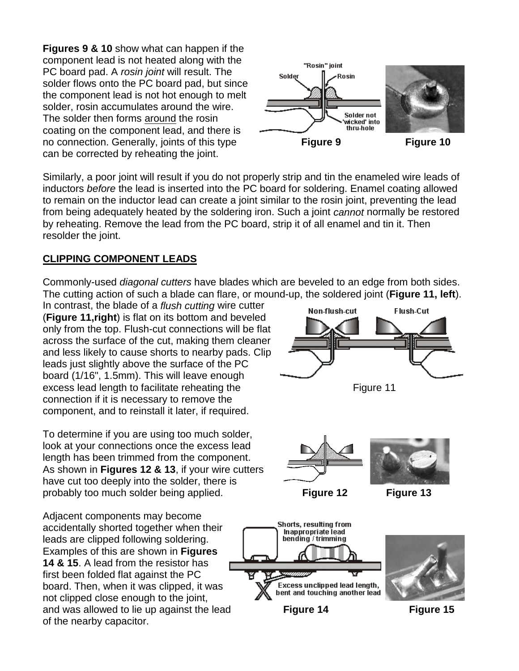**Figures 9 & 10** show what can happen if the component lead is not heated along with the PC board pad. A *rosin joint* will result. The solder flows onto the PC board pad, but since the component lead is not hot enough to melt solder, rosin accumulates around the wire. The solder then forms around the rosin coating on the component lead, and there is no connection. Generally, joints of this type **Figure 9 Figure 10** can be corrected by reheating the joint.



Similarly, a poor joint will result if you do not properly strip and tin the enameled wire leads of inductors *before* the lead is inserted into the PC board for soldering. Enamel coating allowed to remain on the inductor lead can create a joint similar to the rosin joint, preventing the lead from being adequately heated by the soldering iron. Such a joint *cannot* normally be restored by reheating. Remove the lead from the PC board, strip it of all enamel and tin it. Then resolder the joint.

## **CLIPPING COMPONENT LEADS**

Commonly-used *diagonal cutters* have blades which are beveled to an edge from both sides. The cutting action of such a blade can flare, or mound-up, the soldered joint (**Figure 11, left**).

In contrast, the blade of a *flush cutting* wire cutter (**Figure 11,right**) is flat on its bottom and beveled only from the top. Flush-cut connections will be flat across the surface of the cut, making them cleaner and less likely to cause shorts to nearby pads. Clip leads just slightly above the surface of the PC board (1/16", 1.5mm). This will leave enough excess lead length to facilitate reheating the Figure 11 connection if it is necessary to remove the component, and to reinstall it later, if required.

To determine if you are using too much solder, look at your connections once the excess lead length has been trimmed from the component. As shown in **Figures 12 & 13**, if your wire cutters have cut too deeply into the solder, there is probably too much solder being applied. **Figure 12 Figure 13**

Adjacent components may become accidentally shorted together when their leads are clipped following soldering. Examples of this are shown in **Figures 14 & 15**. A lead from the resistor has first been folded flat against the PC board. Then, when it was clipped, it was not clipped close enough to the joint, of the nearby capacitor.







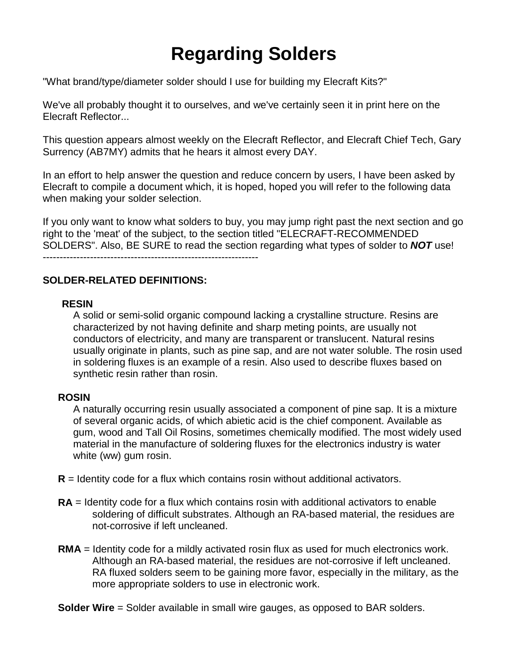# **Regarding Solders**

"What brand/type/diameter solder should I use for building my Elecraft Kits?"

We've all probably thought it to ourselves, and we've certainly seen it in print here on the Elecraft Reflector...

This question appears almost weekly on the Elecraft Reflector, and Elecraft Chief Tech, Gary Surrency (AB7MY) admits that he hears it almost every DAY.

In an effort to help answer the question and reduce concern by users, I have been asked by Elecraft to compile a document which, it is hoped, hoped you will refer to the following data when making your solder selection.

If you only want to know what solders to buy, you may jump right past the next section and go right to the 'meat' of the subject, to the section titled "ELECRAFT-RECOMMENDED SOLDERS". Also, BE SURE to read the section regarding what types of solder to *NOT* use! ----------------------------------------------------------------

#### **SOLDER-RELATED DEFINITIONS:**

#### **RESIN**

A solid or semi-solid organic compound lacking a crystalline structure. Resins are characterized by not having definite and sharp meting points, are usually not conductors of electricity, and many are transparent or translucent. Natural resins usually originate in plants, such as pine sap, and are not water soluble. The rosin used in soldering fluxes is an example of a resin. Also used to describe fluxes based on synthetic resin rather than rosin.

#### **ROSIN**

A naturally occurring resin usually associated a component of pine sap. It is a mixture of several organic acids, of which abietic acid is the chief component. Available as gum, wood and Tall Oil Rosins, sometimes chemically modified. The most widely used material in the manufacture of soldering fluxes for the electronics industry is water white (ww) gum rosin.

**R** = Identity code for a flux which contains rosin without additional activators.

- **RA** = Identity code for a flux which contains rosin with additional activators to enable soldering of difficult substrates. Although an RA-based material, the residues are not-corrosive if left uncleaned.
- **RMA** = Identity code for a mildly activated rosin flux as used for much electronics work. Although an RA-based material, the residues are not-corrosive if left uncleaned. RA fluxed solders seem to be gaining more favor, especially in the military, as the more appropriate solders to use in electronic work.

**Solder Wire** = Solder available in small wire gauges, as opposed to BAR solders.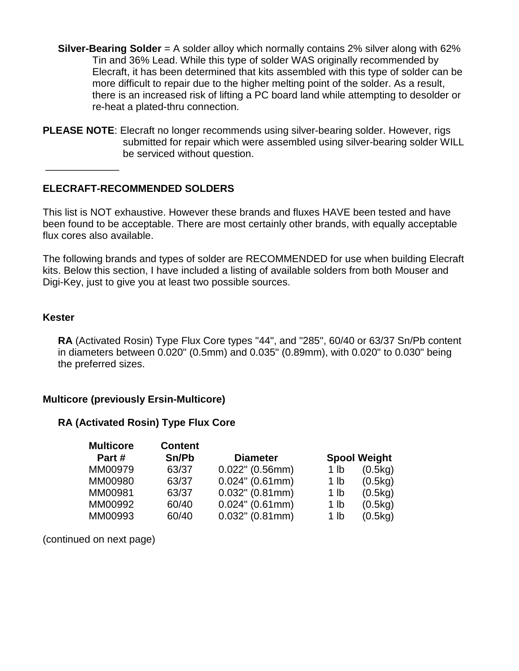- **Silver-Bearing Solder** = A solder alloy which normally contains 2% silver along with 62% Tin and 36% Lead. While this type of solder WAS originally recommended by Elecraft, it has been determined that kits assembled with this type of solder can be more difficult to repair due to the higher melting point of the solder. As a result, there is an increased risk of lifting a PC board land while attempting to desolder or re-heat a plated-thru connection.
- **PLEASE NOTE**: Elecraft no longer recommends using silver-bearing solder. However, rigs submitted for repair which were assembled using silver-bearing solder WILL be serviced without question.

**ELECRAFT-RECOMMENDED SOLDERS**

This list is NOT exhaustive. However these brands and fluxes HAVE been tested and have been found to be acceptable. There are most certainly other brands, with equally acceptable flux cores also available.

The following brands and types of solder are RECOMMENDED for use when building Elecraft kits. Below this section, I have included a listing of available solders from both Mouser and Digi-Key, just to give you at least two possible sources.

#### **Kester**

 $\overline{\phantom{a}}$ 

**RA** (Activated Rosin) Type Flux Core types "44", and "285", 60/40 or 63/37 Sn/Pb content in diameters between 0.020" (0.5mm) and 0.035" (0.89mm), with 0.020" to 0.030" being the preferred sizes.

#### **Multicore (previously Ersin-Multicore)**

## **RA (Activated Rosin) Type Flux Core**

| <b>Multicore</b> | <b>Content</b> |                    |                 |                     |
|------------------|----------------|--------------------|-----------------|---------------------|
| Part#            | Sn/Pb          | <b>Diameter</b>    |                 | <b>Spool Weight</b> |
| MM00979          | 63/37          | $0.022$ " (0.56mm) | 1 <sub>lb</sub> | (0.5kg)             |
| MM00980          | 63/37          | $0.024$ " (0.61mm) | 1 lb            | (0.5kg)             |
| MM00981          | 63/37          | $0.032$ " (0.81mm) | 1 <sub>lb</sub> | (0.5kg)             |
| MM00992          | 60/40          | $0.024$ " (0.61mm) | 1 lb            | (0.5kg)             |
| MM00993          | 60/40          | $0.032$ " (0.81mm) | 1 lb            | (0.5kg)             |

(continued on next page)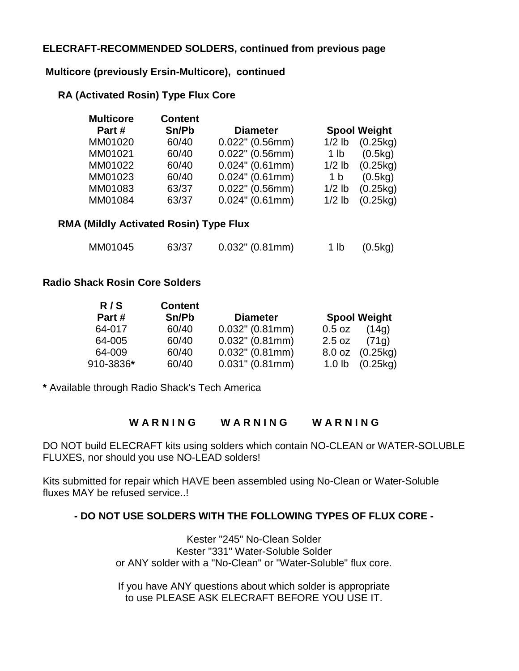## **ELECRAFT-RECOMMENDED SOLDERS, continued from previous page**

#### **Multicore (previously Ersin-Multicore), continued**

#### **RA (Activated Rosin) Type Flux Core**

| <b>Multicore</b> | <b>Content</b> |                    |                 |                     |
|------------------|----------------|--------------------|-----------------|---------------------|
| Part#            | Sn/Pb          | <b>Diameter</b>    |                 | <b>Spool Weight</b> |
| MM01020          | 60/40          | $0.022$ " (0.56mm) | $1/2$ lb        | (0.25kg)            |
| MM01021          | 60/40          | $0.022$ " (0.56mm) | 1 <sub>lb</sub> | (0.5kg)             |
| MM01022          | 60/40          | $0.024$ " (0.61mm) | $1/2$ lb        | (0.25kg)            |
| MM01023          | 60/40          | $0.024$ " (0.61mm) | 1 b             | (0.5kg)             |
| MM01083          | 63/37          | $0.022$ " (0.56mm) | $1/2$ lb        | (0.25kg)            |
| MM01084          | 63/37          | $0.024$ " (0.61mm) | $1/2$ lb        | (0.25kg)            |
|                  |                |                    |                 |                     |

#### **RMA (Mildly Activated Rosin) Type Flux**

| MM01045 | 63/37 | $0.032$ " (0.81mm) | 1 lb | (0.5kg) |
|---------|-------|--------------------|------|---------|
|---------|-------|--------------------|------|---------|

#### **Radio Shack Rosin Core Solders**

| R / 3     | content |                    |          |                     |
|-----------|---------|--------------------|----------|---------------------|
| Part#     | Sn/Pb   | <b>Diameter</b>    |          | <b>Spool Weight</b> |
| 64-017    | 60/40   | $0.032$ " (0.81mm) | $0.5$ oz | (14q)               |
| 64-005    | 60/40   | $0.032$ " (0.81mm) | $2.5$ oz | (71q)               |
| 64-009    | 60/40   | $0.032$ " (0.81mm) |          | 8.0 oz (0.25kg)     |
| 910-3836* | 60/40   | $0.031$ " (0.81mm) |          | 1.0 lb $(0.25kg)$   |

**\*** Available through Radio Shack's Tech America

**R / S Content**

#### WARNING WARNING WARNING

DO NOT build ELECRAFT kits using solders which contain NO-CLEAN or WATER-SOLUBLE FLUXES, nor should you use NO-LEAD solders!

Kits submitted for repair which HAVE been assembled using No-Clean or Water-Soluble fluxes MAY be refused service..!

#### **- DO NOT USE SOLDERS WITH THE FOLLOWING TYPES OF FLUX CORE -**

Kester "245" No-Clean Solder Kester "331" Water-Soluble Solder or ANY solder with a "No-Clean" or "Water-Soluble" flux core.

If you have ANY questions about which solder is appropriate to use PLEASE ASK ELECRAFT BEFORE YOU USE IT.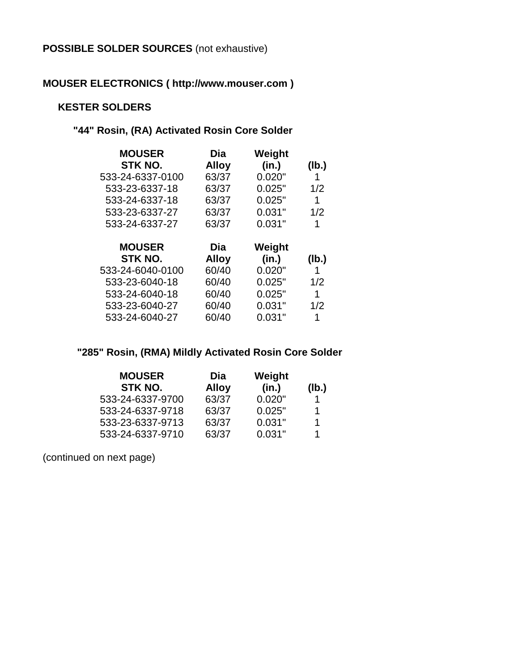## **POSSIBLE SOLDER SOURCES** (not exhaustive)

## **MOUSER ELECTRONICS ( http://www.mouser.com )**

#### **KESTER SOLDERS**

## **"44" Rosin, (RA) Activated Rosin Core Solder**

| <b>MOUSER</b>    | Dia          | Weight |       |
|------------------|--------------|--------|-------|
| STK NO.          | <b>Alloy</b> | (in.)  | (Ib.) |
| 533-24-6337-0100 | 63/37        | 0.020" | 1     |
| 533-23-6337-18   | 63/37        | 0.025" | 1/2   |
| 533-24-6337-18   | 63/37        | 0.025" | 1     |
| 533-23-6337-27   | 63/37        | 0.031" | 1/2   |
| 533-24-6337-27   | 63/37        | 0.031" | 1     |
|                  |              |        |       |
|                  |              |        |       |
| <b>MOUSER</b>    | Dia          | Weight |       |
| STK NO.          | <b>Alloy</b> | (in.)  | (lb.) |
| 533-24-6040-0100 | 60/40        | 0.020" | 1     |
| 533-23-6040-18   | 60/40        | 0.025" | 1/2   |
| 533-24-6040-18   | 60/40        | 0.025" | 1     |
| 533-23-6040-27   | 60/40        | 0.031" | 1/2   |

## **"285" Rosin, (RMA) Mildly Activated Rosin Core Solder**

| <b>MOUSER</b>    | Dia          | Weight |       |
|------------------|--------------|--------|-------|
| STK NO.          | <b>Alloy</b> | (in.)  | (Ib.) |
| 533-24-6337-9700 | 63/37        | 0.020" |       |
| 533-24-6337-9718 | 63/37        | 0.025" | 1.    |
| 533-23-6337-9713 | 63/37        | 0.031" | 1.    |
| 533-24-6337-9710 | 63/37        | 0.031" | 1     |

(continued on next page)